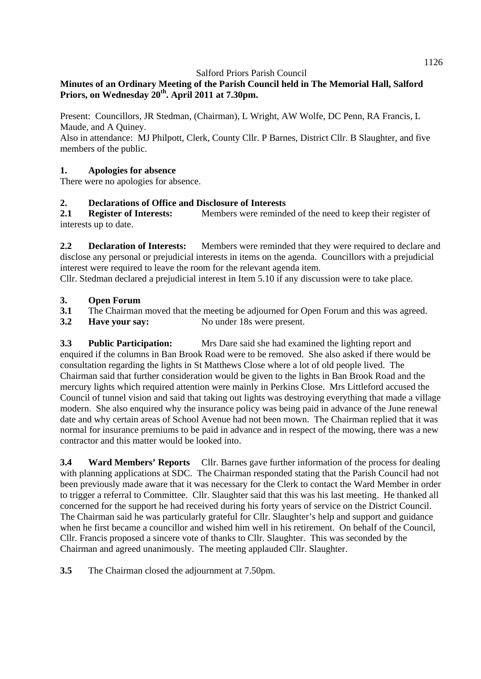# **Minutes of an Ordinary Meeting of the Parish Council held in The Memorial Hall, Salford Priors, on Wednesday 20th. April 2011 at 7.30pm.**

Present: Councillors, JR Stedman, (Chairman), L Wright, AW Wolfe, DC Penn, RA Francis, L Maude, and A Quiney.

Also in attendance: MJ Philpott, Clerk, County Cllr. P Barnes, District Cllr. B Slaughter, and five members of the public.

## **1. Apologies for absence**

There were no apologies for absence.

## **2. Declarations of Office and Disclosure of Interests**

**2.1 Register of Interests:** Members were reminded of the need to keep their register of interests up to date.

**2.2 Declaration of Interests:** Members were reminded that they were required to declare and disclose any personal or prejudicial interests in items on the agenda. Councillors with a prejudicial interest were required to leave the room for the relevant agenda item.

Cllr. Stedman declared a prejudicial interest in Item 5.10 if any discussion were to take place.

#### **3. Open Forum**

- **3.1** The Chairman moved that the meeting be adjourned for Open Forum and this was agreed.
- **3.2 Have your say:** No under 18s were present.

**3.3 Public Participation:** Mrs Dare said she had examined the lighting report and enquired if the columns in Ban Brook Road were to be removed. She also asked if there would be consultation regarding the lights in St Matthews Close where a lot of old people lived. The Chairman said that further consideration would be given to the lights in Ban Brook Road and the mercury lights which required attention were mainly in Perkins Close. Mrs Littleford accused the Council of tunnel vision and said that taking out lights was destroying everything that made a village modern. She also enquired why the insurance policy was being paid in advance of the June renewal date and why certain areas of School Avenue had not been mown. The Chairman replied that it was normal for insurance premiums to be paid in advance and in respect of the mowing, there was a new contractor and this matter would be looked into.

**3.4 Ward Members' Reports** Cllr. Barnes gave further information of the process for dealing with planning applications at SDC. The Chairman responded stating that the Parish Council had not been previously made aware that it was necessary for the Clerk to contact the Ward Member in order to trigger a referral to Committee. Cllr. Slaughter said that this was his last meeting. He thanked all concerned for the support he had received during his forty years of service on the District Council. The Chairman said he was particularly grateful for Cllr. Slaughter's help and support and guidance when he first became a councillor and wished him well in his retirement. On behalf of the Council, Cllr. Francis proposed a sincere vote of thanks to Cllr. Slaughter. This was seconded by the Chairman and agreed unanimously. The meeting applauded Cllr. Slaughter.

**3.5** The Chairman closed the adjournment at 7.50pm.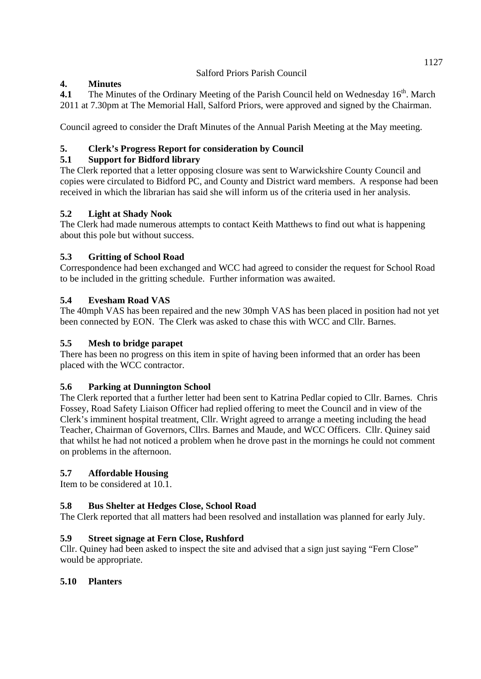# **4. Minutes**

**4.1** The Minutes of the Ordinary Meeting of the Parish Council held on Wednesday 16<sup>th</sup>. March 2011 at 7.30pm at The Memorial Hall, Salford Priors, were approved and signed by the Chairman.

Council agreed to consider the Draft Minutes of the Annual Parish Meeting at the May meeting.

# **5. Clerk's Progress Report for consideration by Council**

# **5.1 Support for Bidford library**

The Clerk reported that a letter opposing closure was sent to Warwickshire County Council and copies were circulated to Bidford PC, and County and District ward members. A response had been received in which the librarian has said she will inform us of the criteria used in her analysis.

# **5.2 Light at Shady Nook**

The Clerk had made numerous attempts to contact Keith Matthews to find out what is happening about this pole but without success.

# **5.3 Gritting of School Road**

Correspondence had been exchanged and WCC had agreed to consider the request for School Road to be included in the gritting schedule. Further information was awaited.

# **5.4 Evesham Road VAS**

The 40mph VAS has been repaired and the new 30mph VAS has been placed in position had not yet been connected by EON. The Clerk was asked to chase this with WCC and Cllr. Barnes.

# **5.5 Mesh to bridge parapet**

There has been no progress on this item in spite of having been informed that an order has been placed with the WCC contractor.

# **5.6 Parking at Dunnington School**

The Clerk reported that a further letter had been sent to Katrina Pedlar copied to Cllr. Barnes. Chris Fossey, Road Safety Liaison Officer had replied offering to meet the Council and in view of the Clerk's imminent hospital treatment, Cllr. Wright agreed to arrange a meeting including the head Teacher, Chairman of Governors, Cllrs. Barnes and Maude, and WCC Officers. Cllr. Quiney said that whilst he had not noticed a problem when he drove past in the mornings he could not comment on problems in the afternoon.

# **5.7 Affordable Housing**

Item to be considered at 10.1.

# **5.8 Bus Shelter at Hedges Close, School Road**

The Clerk reported that all matters had been resolved and installation was planned for early July.

# **5.9 Street signage at Fern Close, Rushford**

Cllr. Quiney had been asked to inspect the site and advised that a sign just saying "Fern Close" would be appropriate.

# **5.10 Planters**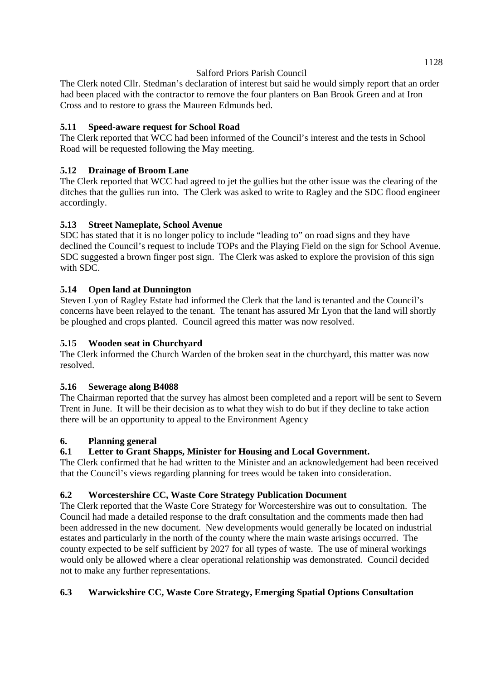The Clerk noted Cllr. Stedman's declaration of interest but said he would simply report that an order had been placed with the contractor to remove the four planters on Ban Brook Green and at Iron Cross and to restore to grass the Maureen Edmunds bed.

# **5.11 Speed-aware request for School Road**

The Clerk reported that WCC had been informed of the Council's interest and the tests in School Road will be requested following the May meeting.

# **5.12 Drainage of Broom Lane**

The Clerk reported that WCC had agreed to jet the gullies but the other issue was the clearing of the ditches that the gullies run into. The Clerk was asked to write to Ragley and the SDC flood engineer accordingly.

# **5.13 Street Nameplate, School Avenue**

SDC has stated that it is no longer policy to include "leading to" on road signs and they have declined the Council's request to include TOPs and the Playing Field on the sign for School Avenue. SDC suggested a brown finger post sign. The Clerk was asked to explore the provision of this sign with SDC.

# **5.14 Open land at Dunnington**

Steven Lyon of Ragley Estate had informed the Clerk that the land is tenanted and the Council's concerns have been relayed to the tenant. The tenant has assured Mr Lyon that the land will shortly be ploughed and crops planted. Council agreed this matter was now resolved.

# **5.15 Wooden seat in Churchyard**

The Clerk informed the Church Warden of the broken seat in the churchyard, this matter was now resolved.

# **5.16 Sewerage along B4088**

The Chairman reported that the survey has almost been completed and a report will be sent to Severn Trent in June. It will be their decision as to what they wish to do but if they decline to take action there will be an opportunity to appeal to the Environment Agency

# **6. Planning general**

# **6.1 Letter to Grant Shapps, Minister for Housing and Local Government.**

The Clerk confirmed that he had written to the Minister and an acknowledgement had been received that the Council's views regarding planning for trees would be taken into consideration.

# **6.2 Worcestershire CC, Waste Core Strategy Publication Document**

The Clerk reported that the Waste Core Strategy for Worcestershire was out to consultation. The Council had made a detailed response to the draft consultation and the comments made then had been addressed in the new document. New developments would generally be located on industrial estates and particularly in the north of the county where the main waste arisings occurred. The county expected to be self sufficient by 2027 for all types of waste. The use of mineral workings would only be allowed where a clear operational relationship was demonstrated. Council decided not to make any further representations.

# **6.3 Warwickshire CC, Waste Core Strategy, Emerging Spatial Options Consultation**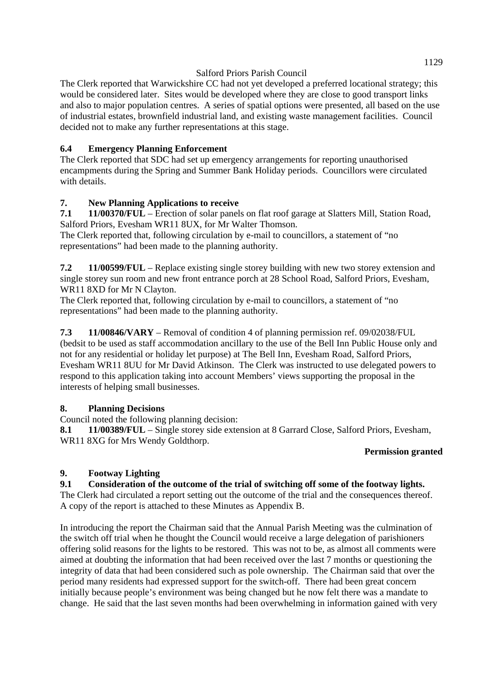The Clerk reported that Warwickshire CC had not yet developed a preferred locational strategy; this would be considered later. Sites would be developed where they are close to good transport links and also to major population centres. A series of spatial options were presented, all based on the use of industrial estates, brownfield industrial land, and existing waste management facilities. Council decided not to make any further representations at this stage.

# **6.4 Emergency Planning Enforcement**

The Clerk reported that SDC had set up emergency arrangements for reporting unauthorised encampments during the Spring and Summer Bank Holiday periods. Councillors were circulated with details.

# **7. New Planning Applications to receive**

**7.1 11/00370/FUL** – Erection of solar panels on flat roof garage at Slatters Mill, Station Road, Salford Priors, Evesham WR11 8UX, for Mr Walter Thomson.

The Clerk reported that, following circulation by e-mail to councillors, a statement of "no representations" had been made to the planning authority.

**7.2 11/00599/FUL** – Replace existing single storey building with new two storey extension and single storey sun room and new front entrance porch at 28 School Road, Salford Priors, Evesham, WR11 8XD for Mr N Clayton.

The Clerk reported that, following circulation by e-mail to councillors, a statement of "no representations" had been made to the planning authority.

**7.3 11/00846/VARY** – Removal of condition 4 of planning permission ref. 09/02038/FUL (bedsit to be used as staff accommodation ancillary to the use of the Bell Inn Public House only and not for any residential or holiday let purpose) at The Bell Inn, Evesham Road, Salford Priors, Evesham WR11 8UU for Mr David Atkinson. The Clerk was instructed to use delegated powers to respond to this application taking into account Members' views supporting the proposal in the interests of helping small businesses.

# **8. Planning Decisions**

Council noted the following planning decision:

**8.1 11/00389/FUL** – Single storey side extension at 8 Garrard Close, Salford Priors, Evesham, WR11 8XG for Mrs Wendy Goldthorp.

### **Permission granted**

# **9. Footway Lighting**

# **9.1 Consideration of the outcome of the trial of switching off some of the footway lights.**

The Clerk had circulated a report setting out the outcome of the trial and the consequences thereof. A copy of the report is attached to these Minutes as Appendix B.

In introducing the report the Chairman said that the Annual Parish Meeting was the culmination of the switch off trial when he thought the Council would receive a large delegation of parishioners offering solid reasons for the lights to be restored. This was not to be, as almost all comments were aimed at doubting the information that had been received over the last 7 months or questioning the integrity of data that had been considered such as pole ownership. The Chairman said that over the period many residents had expressed support for the switch-off. There had been great concern initially because people's environment was being changed but he now felt there was a mandate to change. He said that the last seven months had been overwhelming in information gained with very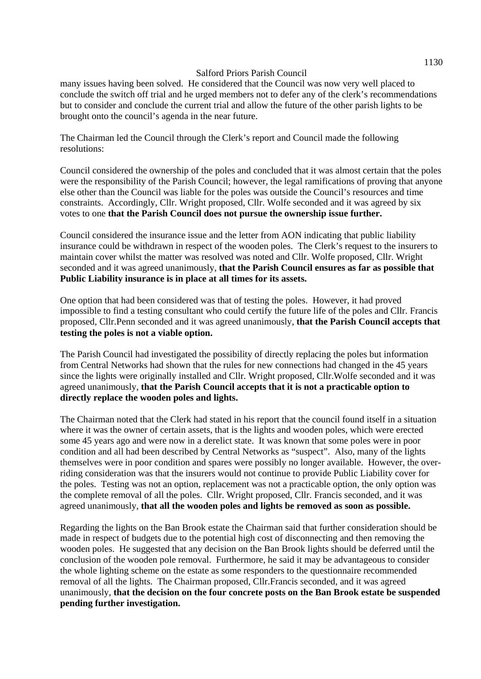many issues having been solved. He considered that the Council was now very well placed to conclude the switch off trial and he urged members not to defer any of the clerk's recommendations but to consider and conclude the current trial and allow the future of the other parish lights to be brought onto the council's agenda in the near future.

The Chairman led the Council through the Clerk's report and Council made the following resolutions:

Council considered the ownership of the poles and concluded that it was almost certain that the poles were the responsibility of the Parish Council; however, the legal ramifications of proving that anyone else other than the Council was liable for the poles was outside the Council's resources and time constraints. Accordingly, Cllr. Wright proposed, Cllr. Wolfe seconded and it was agreed by six votes to one **that the Parish Council does not pursue the ownership issue further.**

Council considered the insurance issue and the letter from AON indicating that public liability insurance could be withdrawn in respect of the wooden poles. The Clerk's request to the insurers to maintain cover whilst the matter was resolved was noted and Cllr. Wolfe proposed, Cllr. Wright seconded and it was agreed unanimously, **that the Parish Council ensures as far as possible that Public Liability insurance is in place at all times for its assets.**

One option that had been considered was that of testing the poles. However, it had proved impossible to find a testing consultant who could certify the future life of the poles and Cllr. Francis proposed, Cllr.Penn seconded and it was agreed unanimously, **that the Parish Council accepts that testing the poles is not a viable option.** 

The Parish Council had investigated the possibility of directly replacing the poles but information from Central Networks had shown that the rules for new connections had changed in the 45 years since the lights were originally installed and Cllr. Wright proposed, Cllr.Wolfe seconded and it was agreed unanimously, **that the Parish Council accepts that it is not a practicable option to directly replace the wooden poles and lights.** 

The Chairman noted that the Clerk had stated in his report that the council found itself in a situation where it was the owner of certain assets, that is the lights and wooden poles, which were erected some 45 years ago and were now in a derelict state. It was known that some poles were in poor condition and all had been described by Central Networks as "suspect". Also, many of the lights themselves were in poor condition and spares were possibly no longer available. However, the overriding consideration was that the insurers would not continue to provide Public Liability cover for the poles. Testing was not an option, replacement was not a practicable option, the only option was the complete removal of all the poles. Cllr. Wright proposed, Cllr. Francis seconded, and it was agreed unanimously, **that all the wooden poles and lights be removed as soon as possible.** 

Regarding the lights on the Ban Brook estate the Chairman said that further consideration should be made in respect of budgets due to the potential high cost of disconnecting and then removing the wooden poles. He suggested that any decision on the Ban Brook lights should be deferred until the conclusion of the wooden pole removal. Furthermore, he said it may be advantageous to consider the whole lighting scheme on the estate as some responders to the questionnaire recommended removal of all the lights. The Chairman proposed, Cllr.Francis seconded, and it was agreed unanimously, **that the decision on the four concrete posts on the Ban Brook estate be suspended pending further investigation.**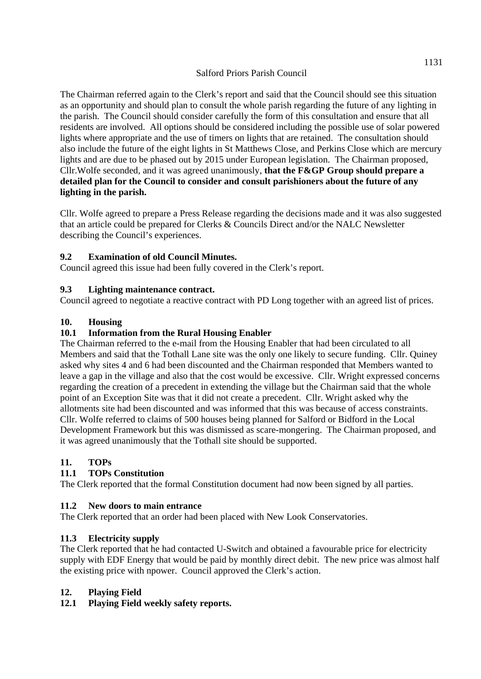The Chairman referred again to the Clerk's report and said that the Council should see this situation as an opportunity and should plan to consult the whole parish regarding the future of any lighting in the parish. The Council should consider carefully the form of this consultation and ensure that all residents are involved. All options should be considered including the possible use of solar powered lights where appropriate and the use of timers on lights that are retained. The consultation should also include the future of the eight lights in St Matthews Close, and Perkins Close which are mercury lights and are due to be phased out by 2015 under European legislation. The Chairman proposed, Cllr.Wolfe seconded, and it was agreed unanimously, **that the F&GP Group should prepare a detailed plan for the Council to consider and consult parishioners about the future of any lighting in the parish.** 

Cllr. Wolfe agreed to prepare a Press Release regarding the decisions made and it was also suggested that an article could be prepared for Clerks & Councils Direct and/or the NALC Newsletter describing the Council's experiences.

## **9.2 Examination of old Council Minutes.**

Council agreed this issue had been fully covered in the Clerk's report.

### **9.3 Lighting maintenance contract.**

Council agreed to negotiate a reactive contract with PD Long together with an agreed list of prices.

### **10. Housing**

### **10.1 Information from the Rural Housing Enabler**

The Chairman referred to the e-mail from the Housing Enabler that had been circulated to all Members and said that the Tothall Lane site was the only one likely to secure funding. Cllr. Quiney asked why sites 4 and 6 had been discounted and the Chairman responded that Members wanted to leave a gap in the village and also that the cost would be excessive. Cllr. Wright expressed concerns regarding the creation of a precedent in extending the village but the Chairman said that the whole point of an Exception Site was that it did not create a precedent. Cllr. Wright asked why the allotments site had been discounted and was informed that this was because of access constraints. Cllr. Wolfe referred to claims of 500 houses being planned for Salford or Bidford in the Local Development Framework but this was dismissed as scare-mongering. The Chairman proposed, and it was agreed unanimously that the Tothall site should be supported.

### **11. TOPs**

### **11.1 TOPs Constitution**

The Clerk reported that the formal Constitution document had now been signed by all parties.

### **11.2 New doors to main entrance**

The Clerk reported that an order had been placed with New Look Conservatories.

### **11.3 Electricity supply**

The Clerk reported that he had contacted U-Switch and obtained a favourable price for electricity supply with EDF Energy that would be paid by monthly direct debit. The new price was almost half the existing price with npower. Council approved the Clerk's action.

### **12. Playing Field**

### **12.1 Playing Field weekly safety reports.**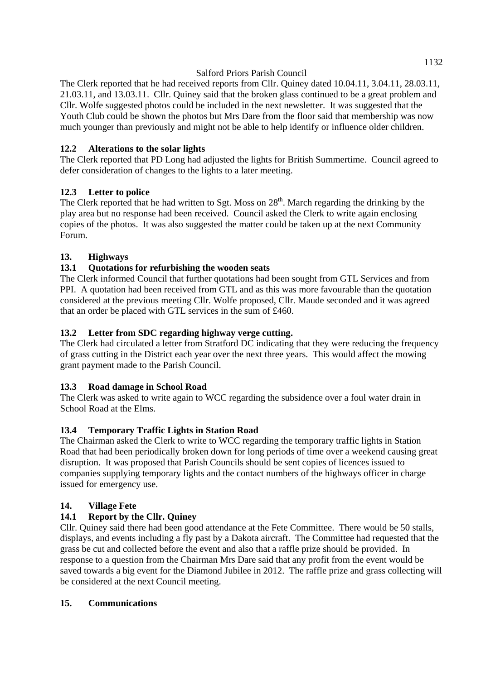The Clerk reported that he had received reports from Cllr. Quiney dated 10.04.11, 3.04.11, 28.03.11, 21.03.11, and 13.03.11. Cllr. Quiney said that the broken glass continued to be a great problem and Cllr. Wolfe suggested photos could be included in the next newsletter. It was suggested that the Youth Club could be shown the photos but Mrs Dare from the floor said that membership was now much younger than previously and might not be able to help identify or influence older children.

# **12.2 Alterations to the solar lights**

The Clerk reported that PD Long had adjusted the lights for British Summertime. Council agreed to defer consideration of changes to the lights to a later meeting.

# **12.3 Letter to police**

The Clerk reported that he had written to Sgt. Moss on  $28<sup>th</sup>$ . March regarding the drinking by the play area but no response had been received. Council asked the Clerk to write again enclosing copies of the photos. It was also suggested the matter could be taken up at the next Community Forum.

## **13. Highways**

## **13.1 Quotations for refurbishing the wooden seats**

The Clerk informed Council that further quotations had been sought from GTL Services and from PPI. A quotation had been received from GTL and as this was more favourable than the quotation considered at the previous meeting Cllr. Wolfe proposed, Cllr. Maude seconded and it was agreed that an order be placed with GTL services in the sum of £460.

### **13.2 Letter from SDC regarding highway verge cutting.**

The Clerk had circulated a letter from Stratford DC indicating that they were reducing the frequency of grass cutting in the District each year over the next three years. This would affect the mowing grant payment made to the Parish Council.

### **13.3 Road damage in School Road**

The Clerk was asked to write again to WCC regarding the subsidence over a foul water drain in School Road at the Elms.

# **13.4 Temporary Traffic Lights in Station Road**

The Chairman asked the Clerk to write to WCC regarding the temporary traffic lights in Station Road that had been periodically broken down for long periods of time over a weekend causing great disruption. It was proposed that Parish Councils should be sent copies of licences issued to companies supplying temporary lights and the contact numbers of the highways officer in charge issued for emergency use.

### **14. Village Fete**

# **14.1 Report by the Cllr. Quiney**

Cllr. Quiney said there had been good attendance at the Fete Committee. There would be 50 stalls, displays, and events including a fly past by a Dakota aircraft. The Committee had requested that the grass be cut and collected before the event and also that a raffle prize should be provided. In response to a question from the Chairman Mrs Dare said that any profit from the event would be saved towards a big event for the Diamond Jubilee in 2012. The raffle prize and grass collecting will be considered at the next Council meeting.

### **15. Communications**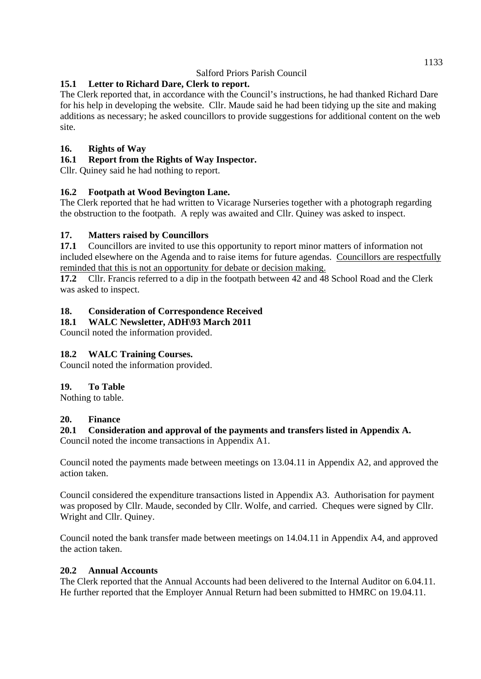# **15.1 Letter to Richard Dare, Clerk to report.**

The Clerk reported that, in accordance with the Council's instructions, he had thanked Richard Dare for his help in developing the website. Cllr. Maude said he had been tidying up the site and making additions as necessary; he asked councillors to provide suggestions for additional content on the web site.

# **16. Rights of Way**

# **16.1 Report from the Rights of Way Inspector.**

Cllr. Quiney said he had nothing to report.

# **16.2 Footpath at Wood Bevington Lane.**

The Clerk reported that he had written to Vicarage Nurseries together with a photograph regarding the obstruction to the footpath. A reply was awaited and Cllr. Quiney was asked to inspect.

# **17. Matters raised by Councillors**

**17.1** Councillors are invited to use this opportunity to report minor matters of information not included elsewhere on the Agenda and to raise items for future agendas. Councillors are respectfully reminded that this is not an opportunity for debate or decision making.

**17.2** Cllr. Francis referred to a dip in the footpath between 42 and 48 School Road and the Clerk was asked to inspect.

# **18. Consideration of Correspondence Received**

**18.1 WALC Newsletter, ADH\93 March 2011** 

Council noted the information provided.

# **18.2 WALC Training Courses.**

Council noted the information provided.

### **19. To Table**

Nothing to table.

### **20. Finance**

# **20.1 Consideration and approval of the payments and transfers listed in Appendix A.**

Council noted the income transactions in Appendix A1.

Council noted the payments made between meetings on 13.04.11 in Appendix A2, and approved the action taken.

Council considered the expenditure transactions listed in Appendix A3. Authorisation for payment was proposed by Cllr. Maude, seconded by Cllr. Wolfe, and carried. Cheques were signed by Cllr. Wright and Cllr. Quiney.

Council noted the bank transfer made between meetings on 14.04.11 in Appendix A4, and approved the action taken.

### **20.2 Annual Accounts**

The Clerk reported that the Annual Accounts had been delivered to the Internal Auditor on 6.04.11. He further reported that the Employer Annual Return had been submitted to HMRC on 19.04.11.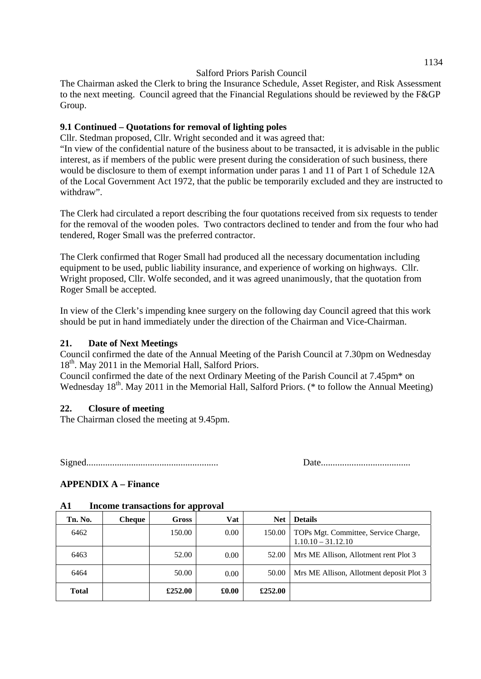The Chairman asked the Clerk to bring the Insurance Schedule, Asset Register, and Risk Assessment to the next meeting. Council agreed that the Financial Regulations should be reviewed by the F&GP Group.

#### **9.1 Continued – Quotations for removal of lighting poles**

Cllr. Stedman proposed, Cllr. Wright seconded and it was agreed that:

"In view of the confidential nature of the business about to be transacted, it is advisable in the public interest, as if members of the public were present during the consideration of such business, there would be disclosure to them of exempt information under paras 1 and 11 of Part 1 of Schedule 12A of the Local Government Act 1972, that the public be temporarily excluded and they are instructed to withdraw".

The Clerk had circulated a report describing the four quotations received from six requests to tender for the removal of the wooden poles. Two contractors declined to tender and from the four who had tendered, Roger Small was the preferred contractor.

The Clerk confirmed that Roger Small had produced all the necessary documentation including equipment to be used, public liability insurance, and experience of working on highways. Cllr. Wright proposed, Cllr. Wolfe seconded, and it was agreed unanimously, that the quotation from Roger Small be accepted.

In view of the Clerk's impending knee surgery on the following day Council agreed that this work should be put in hand immediately under the direction of the Chairman and Vice-Chairman.

#### **21. Date of Next Meetings**

Council confirmed the date of the Annual Meeting of the Parish Council at 7.30pm on Wednesday  $18<sup>th</sup>$ . May 2011 in the Memorial Hall, Salford Priors.

Council confirmed the date of the next Ordinary Meeting of the Parish Council at 7.45pm\* on Wednesday  $18<sup>th</sup>$ . May 2011 in the Memorial Hall, Salford Priors. (\* to follow the Annual Meeting)

#### **22. Closure of meeting**

The Chairman closed the meeting at 9.45pm.

Signed........................................................ Date......................................

### **APPENDIX A – Finance**

| Tn. No.      | <b>Cheque</b> | Gross   | Vat      | <b>Net</b> | <b>Details</b>                                               |
|--------------|---------------|---------|----------|------------|--------------------------------------------------------------|
| 6462         |               | 150.00  | $0.00\,$ | 150.00     | TOPs Mgt. Committee, Service Charge,<br>$1.10.10 - 31.12.10$ |
| 6463         |               | 52.00   | 0.00     | 52.00      | Mrs ME Allison, Allotment rent Plot 3                        |
| 6464         |               | 50.00   | 0.00     | 50.00      | Mrs ME Allison, Allotment deposit Plot 3                     |
| <b>Total</b> |               | £252.00 | £0.00    | £252.00    |                                                              |

#### **A1 Income transactions for approval**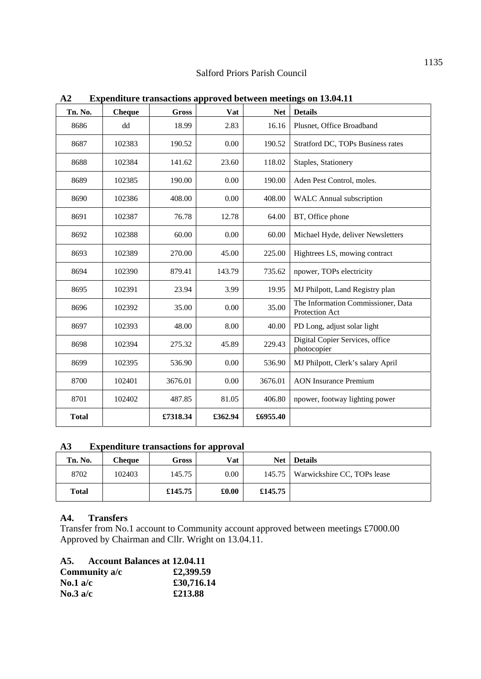| Tn. No.      | <b>Cheque</b> | <b>Gross</b> | Vat     | <b>Net</b> | <b>Details</b>                                       |
|--------------|---------------|--------------|---------|------------|------------------------------------------------------|
| 8686         | dd            | 18.99        | 2.83    | 16.16      | Plusnet, Office Broadband                            |
| 8687         | 102383        | 190.52       | 0.00    | 190.52     | Stratford DC, TOPs Business rates                    |
| 8688         | 102384        | 141.62       | 23.60   | 118.02     | Staples, Stationery                                  |
| 8689         | 102385        | 190.00       | 0.00    | 190.00     | Aden Pest Control, moles.                            |
| 8690         | 102386        | 408.00       | 0.00    | 408.00     | <b>WALC</b> Annual subscription                      |
| 8691         | 102387        | 76.78        | 12.78   | 64.00      | BT, Office phone                                     |
| 8692         | 102388        | 60.00        | 0.00    | 60.00      | Michael Hyde, deliver Newsletters                    |
| 8693         | 102389        | 270.00       | 45.00   | 225.00     | Hightrees LS, mowing contract                        |
| 8694         | 102390        | 879.41       | 143.79  | 735.62     | npower, TOPs electricity                             |
| 8695         | 102391        | 23.94        | 3.99    | 19.95      | MJ Philpott, Land Registry plan                      |
| 8696         | 102392        | 35.00        | 0.00    | 35.00      | The Information Commissioner, Data<br>Protection Act |
| 8697         | 102393        | 48.00        | 8.00    | 40.00      | PD Long, adjust solar light                          |
| 8698         | 102394        | 275.32       | 45.89   | 229.43     | Digital Copier Services, office<br>photocopier       |
| 8699         | 102395        | 536.90       | 0.00    | 536.90     | MJ Philpott, Clerk's salary April                    |
| 8700         | 102401        | 3676.01      | 0.00    | 3676.01    | <b>AON</b> Insurance Premium                         |
| 8701         | 102402        | 487.85       | 81.05   | 406.80     | npower, footway lighting power                       |
| <b>Total</b> |               | £7318.34     | £362.94 | £6955.40   |                                                      |

**A2 Expenditure transactions approved between meetings on 13.04.11** 

## **A3 Expenditure transactions for approval**

|              |        |         | . .        |            |                             |
|--------------|--------|---------|------------|------------|-----------------------------|
| Tn. No.      | Cheque | Gross   | <b>Vat</b> | <b>Net</b> | <b>Details</b>              |
| 8702         | 102403 | 145.75  | $0.00\,$   | $145.75$   | Warwickshire CC, TOPs lease |
| <b>Total</b> |        | £145.75 | £0.00      | £145.75    |                             |

### **A4. Transfers**

Transfer from No.1 account to Community account approved between meetings £7000.00 Approved by Chairman and Cllr. Wright on 13.04.11.

| A5.               | Account Balances at 12.04.11 |            |
|-------------------|------------------------------|------------|
|                   | Community a/c                | £2,399.59  |
| No.1 $a/c$        |                              | £30,716.14 |
| $\text{No.3}$ a/c |                              | £213.88    |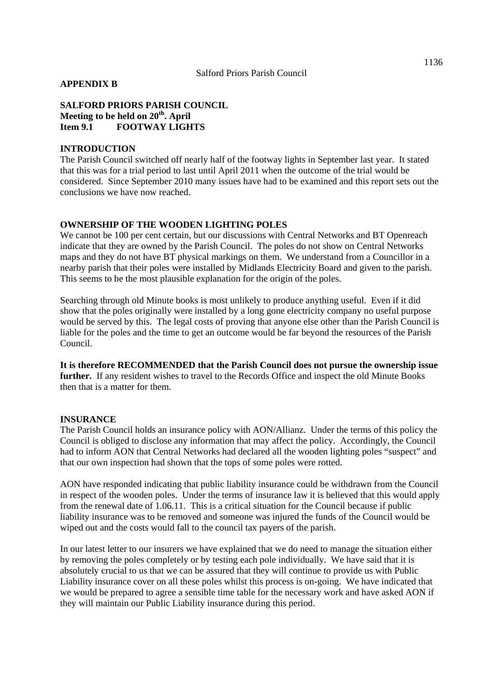#### **APPENDIX B**

**SALFORD PRIORS PARISH COUNCIL**  Meeting to be held on 20<sup>th</sup>. April **Item 9.1 FOOTWAY LIGHTS** 

#### **INTRODUCTION**

The Parish Council switched off nearly half of the footway lights in September last year. It stated that this was for a trial period to last until April 2011 when the outcome of the trial would be considered. Since September 2010 many issues have had to be examined and this report sets out the conclusions we have now reached.

#### **OWNERSHIP OF THE WOODEN LIGHTING POLES**

We cannot be 100 per cent certain, but our discussions with Central Networks and BT Openreach indicate that they are owned by the Parish Council. The poles do not show on Central Networks maps and they do not have BT physical markings on them. We understand from a Councillor in a nearby parish that their poles were installed by Midlands Electricity Board and given to the parish. This seems to be the most plausible explanation for the origin of the poles.

Searching through old Minute books is most unlikely to produce anything useful. Even if it did show that the poles originally were installed by a long gone electricity company no useful purpose would be served by this. The legal costs of proving that anyone else other than the Parish Council is liable for the poles and the time to get an outcome would be far beyond the resources of the Parish Council.

**It is therefore RECOMMENDED that the Parish Council does not pursue the ownership issue further.** If any resident wishes to travel to the Records Office and inspect the old Minute Books then that is a matter for them.

#### **INSURANCE**

The Parish Council holds an insurance policy with AON/Allianz. Under the terms of this policy the Council is obliged to disclose any information that may affect the policy. Accordingly, the Council had to inform AON that Central Networks had declared all the wooden lighting poles "suspect" and that our own inspection had shown that the tops of some poles were rotted.

AON have responded indicating that public liability insurance could be withdrawn from the Council in respect of the wooden poles. Under the terms of insurance law it is believed that this would apply from the renewal date of 1.06.11. This is a critical situation for the Council because if public liability insurance was to be removed and someone was injured the funds of the Council would be wiped out and the costs would fall to the council tax payers of the parish.

In our latest letter to our insurers we have explained that we do need to manage the situation either by removing the poles completely or by testing each pole individually. We have said that it is absolutely crucial to us that we can be assured that they will continue to provide us with Public Liability insurance cover on all these poles whilst this process is on-going. We have indicated that we would be prepared to agree a sensible time table for the necessary work and have asked AON if they will maintain our Public Liability insurance during this period.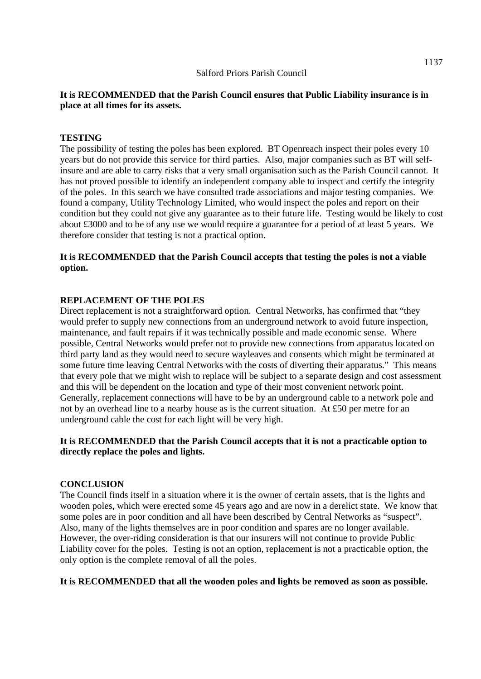#### **It is RECOMMENDED that the Parish Council ensures that Public Liability insurance is in place at all times for its assets.**

#### **TESTING**

The possibility of testing the poles has been explored. BT Openreach inspect their poles every 10 years but do not provide this service for third parties. Also, major companies such as BT will selfinsure and are able to carry risks that a very small organisation such as the Parish Council cannot. It has not proved possible to identify an independent company able to inspect and certify the integrity of the poles. In this search we have consulted trade associations and major testing companies. We found a company, Utility Technology Limited, who would inspect the poles and report on their condition but they could not give any guarantee as to their future life. Testing would be likely to cost about £3000 and to be of any use we would require a guarantee for a period of at least 5 years. We therefore consider that testing is not a practical option.

#### **It is RECOMMENDED that the Parish Council accepts that testing the poles is not a viable option.**

#### **REPLACEMENT OF THE POLES**

Direct replacement is not a straightforward option. Central Networks, has confirmed that "they would prefer to supply new connections from an underground network to avoid future inspection, maintenance, and fault repairs if it was technically possible and made economic sense. Where possible, Central Networks would prefer not to provide new connections from apparatus located on third party land as they would need to secure wayleaves and consents which might be terminated at some future time leaving Central Networks with the costs of diverting their apparatus." This means that every pole that we might wish to replace will be subject to a separate design and cost assessment and this will be dependent on the location and type of their most convenient network point. Generally, replacement connections will have to be by an underground cable to a network pole and not by an overhead line to a nearby house as is the current situation. At £50 per metre for an underground cable the cost for each light will be very high.

#### **It is RECOMMENDED that the Parish Council accepts that it is not a practicable option to directly replace the poles and lights.**

#### **CONCLUSION**

The Council finds itself in a situation where it is the owner of certain assets, that is the lights and wooden poles, which were erected some 45 years ago and are now in a derelict state. We know that some poles are in poor condition and all have been described by Central Networks as "suspect". Also, many of the lights themselves are in poor condition and spares are no longer available. However, the over-riding consideration is that our insurers will not continue to provide Public Liability cover for the poles. Testing is not an option, replacement is not a practicable option, the only option is the complete removal of all the poles.

#### **It is RECOMMENDED that all the wooden poles and lights be removed as soon as possible.**